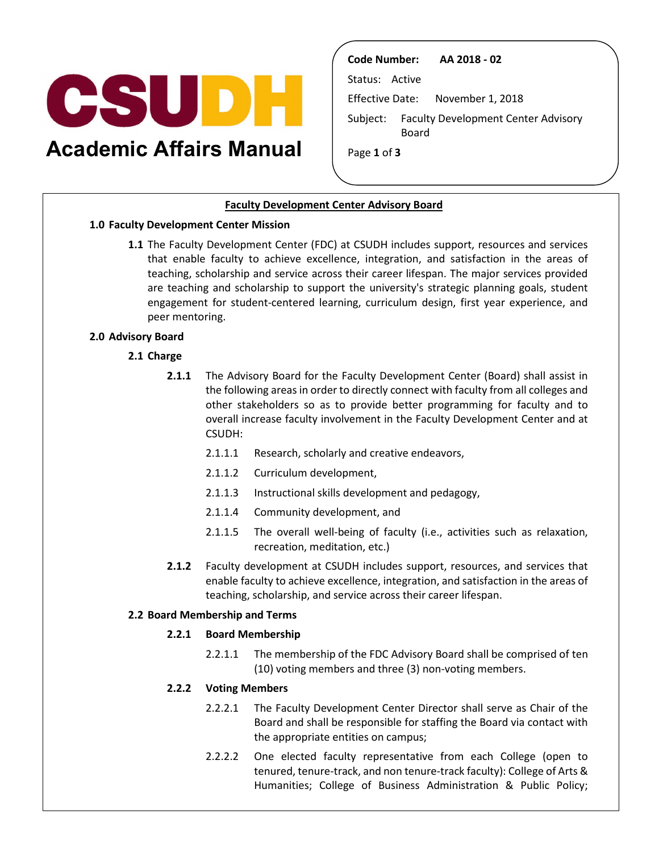

**Academic Affairs Manual** 

**Code Number: AA 2018 - 02** 

Status: Active

Effective Date: November 1, 2018

Subject: Faculty Development Center Advisory Board

Page **1** of **3** 

# **Faculty Development Center Advisory Board**

### **1.0 Faculty Development Center Mission**

 that enable faculty to achieve excellence, integration, and satisfaction in the areas of engagement for student-centered learning, curriculum design, first year experience, and **1.1** The Faculty Development Center (FDC) at CSUDH includes support, resources and services teaching, scholarship and service across their career lifespan. The major services provided are teaching and scholarship to support the university's strategic planning goals, student peer mentoring.

### **2.0 Advisory Board**

### **2.1 Charge**

- **2.1.1** The Advisory Board for the Faculty Development Center (Board) shall assist in the following areas in order to directly connect with faculty from all colleges and other stakeholders so as to provide better programming for faculty and to overall increase faculty involvement in the Faculty Development Center and at CSUDH:
	- 2.1.1.1 Research, scholarly and creative endeavors,
	- 2.1.1.2 Curriculum development,
	- 2.1.1.3 Instructional skills development and pedagogy,
	- 2.1.1.4 Community development, and
	- 2.1.1.5 The overall well-being of faculty (i.e., activities such as relaxation, recreation, meditation, etc.)
- enable faculty to achieve excellence, integration, and satisfaction in the areas of **2.1.2** Faculty development at CSUDH includes support, resources, and services that teaching, scholarship, and service across their career lifespan.

### **2.2 Board Membership and Terms**

#### **2.2.1 Board Membership**

 2.2.1.1 The membership of the FDC Advisory Board shall be comprised of ten (10) voting members and three (3) non-voting members.

# **2.2.2 Voting Members**

- Board and shall be responsible for staffing the Board via contact with 2.2.2.1 The Faculty Development Center Director shall serve as Chair of the the appropriate entities on campus;
- 2.2.2.2 One elected faculty representative from each College (open to tenured, tenure-track, and non tenure-track faculty): College of Arts & Humanities; College of Business Administration & Public Policy;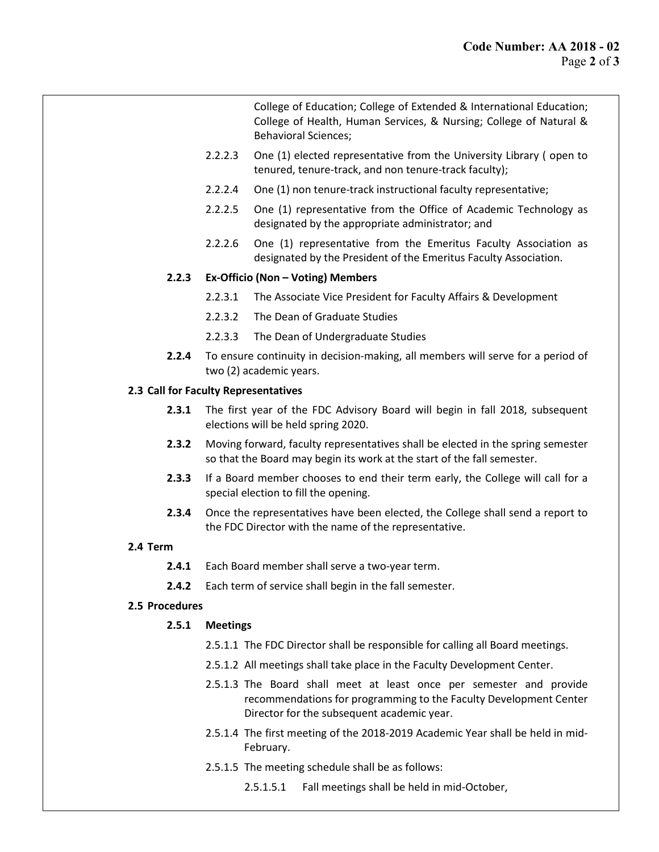College of Education; College of Extended & International Education; College of Health, Human Services, & Nursing; College of Natural & Behavioral Sciences;

- 2.2.2.3 One (1) elected representative from the University Library ( open to tenured, tenure-track, and non tenure-track faculty);
- 2.2.2.4 One (1) non tenure-track instructional faculty representative;
- 2.2.2.5 One (1) representative from the Office of Academic Technology as designated by the appropriate administrator; and
- 2.2.2.6 One (1) representative from the Emeritus Faculty Association as designated by the President of the Emeritus Faculty Association.

# **2.2.3 Ex-Officio (Non – Voting) Members**

- 2.2.3.1 The Associate Vice President for Faculty Affairs & Development
- 2.2.3.2 The Dean of Graduate Studies
- 2.2.3.3 The Dean of Undergraduate Studies
- **2.2.4** To ensure continuity in decision-making, all members will serve for a period of two (2) academic years.

#### **2.3 Call for Faculty Representatives**

- **2.3.1** The first year of the FDC Advisory Board will begin in fall 2018, subsequent elections will be held spring 2020.
- **2.3.2** Moving forward, faculty representatives shall be elected in the spring semester so that the Board may begin its work at the start of the fall semester.
- special election to fill the opening. **2.3.3** If a Board member chooses to end their term early, the College will call for a
- **2.3.4** Once the representatives have been elected, the College shall send a report to the FDC Director with the name of the representative.

#### **2.4 Term**

- **2.4.1** Each Board member shall serve a two-year term.
- **2.4.2** Each term of service shall begin in the fall semester.

# **2.5 Procedures**

# **2.5.1 Meetings**

- 2.5.1.1 The FDC Director shall be responsible for calling all Board meetings.
- 2.5.1.2 All meetings shall take place in the Faculty Development Center.
- Director for the subsequent academic year. 2.5.1.3 The Board shall meet at least once per semester and provide recommendations for programming to the Faculty Development Center
- 2.5.1.4 The first meeting of the 2018-2019 Academic Year shall be held in mid-February.
- 2.5.1.5 The meeting schedule shall be as follows:
	- 2.5.1.5.1 Fall meetings shall be held in mid-October,